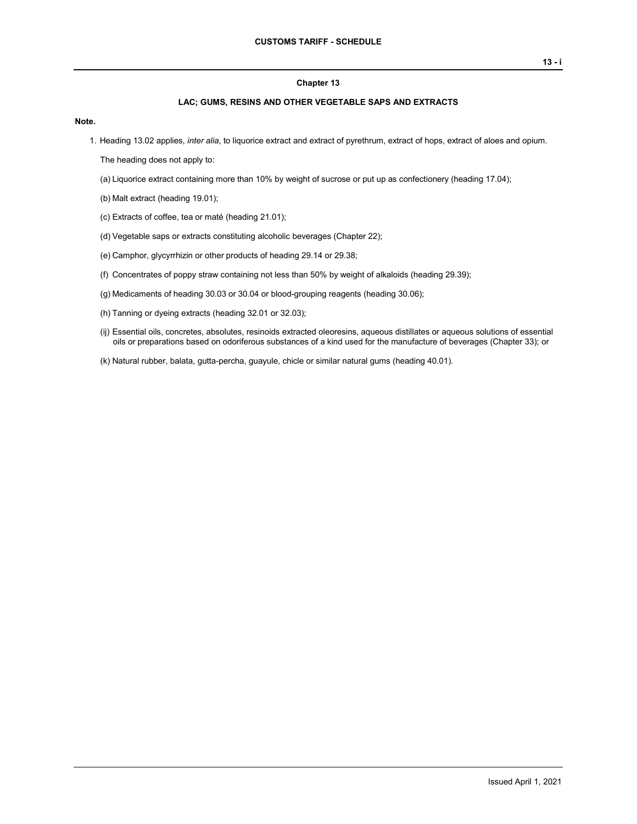## **Chapter 13**

## **LAC; GUMS, RESINS AND OTHER VEGETABLE SAPS AND EXTRACTS**

## **Note.**

1. Heading 13.02 applies, *inter alia*, to liquorice extract and extract of pyrethrum, extract of hops, extract of aloes and opium.

The heading does not apply to:

- (a) Liquorice extract containing more than 10% by weight of sucrose or put up as confectionery (heading 17.04);
- (b) Malt extract (heading 19.01);
- (c) Extracts of coffee, tea or maté (heading 21.01);
- (d) Vegetable saps or extracts constituting alcoholic beverages (Chapter 22);
- (e) Camphor, glycyrrhizin or other products of heading 29.14 or 29.38;
- (f) Concentrates of poppy straw containing not less than 50% by weight of alkaloids (heading 29.39);
- (g) Medicaments of heading 30.03 or 30.04 or blood-grouping reagents (heading 30.06);
- (h) Tanning or dyeing extracts (heading 32.01 or 32.03);
- (ij) Essential oils, concretes, absolutes, resinoids extracted oleoresins, aqueous distillates or aqueous solutions of essential oils or preparations based on odoriferous substances of a kind used for the manufacture of beverages (Chapter 33); or
- (k) Natural rubber, balata, gutta-percha, guayule, chicle or similar natural gums (heading 40.01).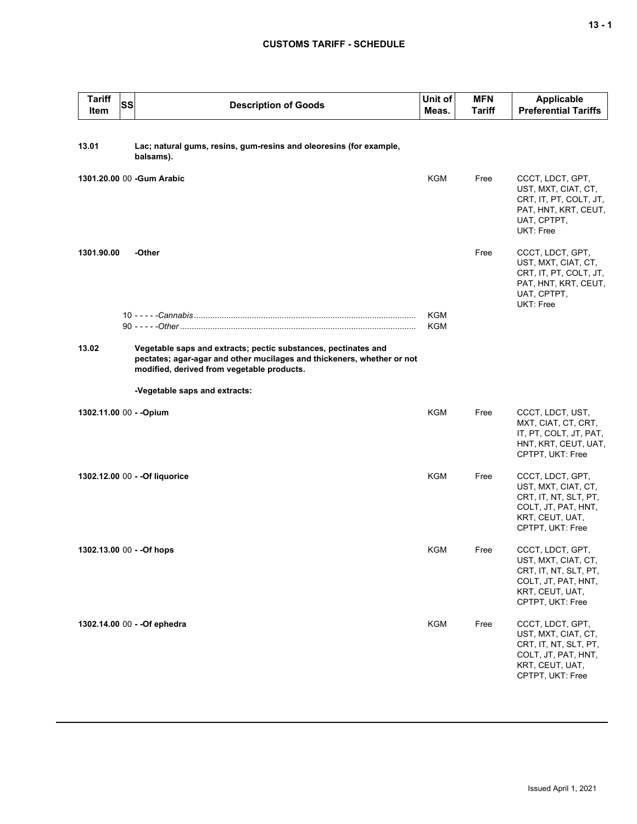## **CUSTOMS TARIFF - SCHEDULE**

| <b>Tariff</b><br>Item   | <b>SS</b> | <b>Description of Goods</b>                                                                                                                                                            | Unit of<br>Meas. | <b>MFN</b><br><b>Tariff</b> | <b>Applicable</b><br><b>Preferential Tariffs</b>                                                                               |
|-------------------------|-----------|----------------------------------------------------------------------------------------------------------------------------------------------------------------------------------------|------------------|-----------------------------|--------------------------------------------------------------------------------------------------------------------------------|
| 13.01                   |           | Lac; natural gums, resins, gum-resins and oleoresins (for example,<br>balsams).                                                                                                        |                  |                             |                                                                                                                                |
|                         |           | 1301.20.00 00 -Gum Arabic                                                                                                                                                              | KGM              | Free                        | CCCT, LDCT, GPT,<br>UST, MXT, CIAT, CT,<br>CRT, IT, PT, COLT, JT,<br>PAT, HNT, KRT, CEUT,<br>UAT, CPTPT,<br>UKT: Free          |
| 1301.90.00              |           | -Other                                                                                                                                                                                 | KGM              | Free                        | CCCT, LDCT, GPT,<br>UST, MXT, CIAT, CT,<br>CRT, IT, PT, COLT, JT,<br>PAT, HNT, KRT, CEUT,<br>UAT, CPTPT,<br>UKT: Free          |
| 13.02                   |           | Vegetable saps and extracts; pectic substances, pectinates and<br>pectates; agar-agar and other mucilages and thickeners, whether or not<br>modified, derived from vegetable products. | KGM              |                             |                                                                                                                                |
|                         |           | -Vegetable saps and extracts:                                                                                                                                                          |                  |                             |                                                                                                                                |
| 1302.11.00 00 - - Opium |           |                                                                                                                                                                                        | KGM              | Free                        | CCCT, LDCT, UST,<br>MXT, CIAT, CT, CRT,<br>IT, PT, COLT, JT, PAT,<br>HNT, KRT, CEUT, UAT,<br>CPTPT, UKT: Free                  |
|                         |           | 1302.12.00 00 - - Of liquorice                                                                                                                                                         | <b>KGM</b>       | Free                        | CCCT, LDCT, GPT,<br>UST, MXT, CIAT, CT,<br>CRT, IT, NT, SLT, PT,<br>COLT, JT, PAT, HNT,<br>KRT, CEUT, UAT,<br>CPTPT, UKT: Free |
|                         |           | 1302.13.00 00 - - Of hops                                                                                                                                                              | KGM              | Free                        | CCCT, LDCT, GPT,<br>UST, MXT, CIAT, CT,<br>CRT, IT, NT, SLT, PT,<br>COLT, JT, PAT, HNT,<br>KRT, CEUT, UAT,<br>CPTPT, UKT: Free |
|                         |           | 1302.14.00 00 - - Of ephedra                                                                                                                                                           | <b>KGM</b>       | Free                        | CCCT, LDCT, GPT,<br>UST, MXT, CIAT, CT,<br>CRT, IT, NT, SLT, PT,<br>COLT, JT, PAT, HNT,<br>KRT, CEUT, UAT,<br>CPTPT, UKT: Free |